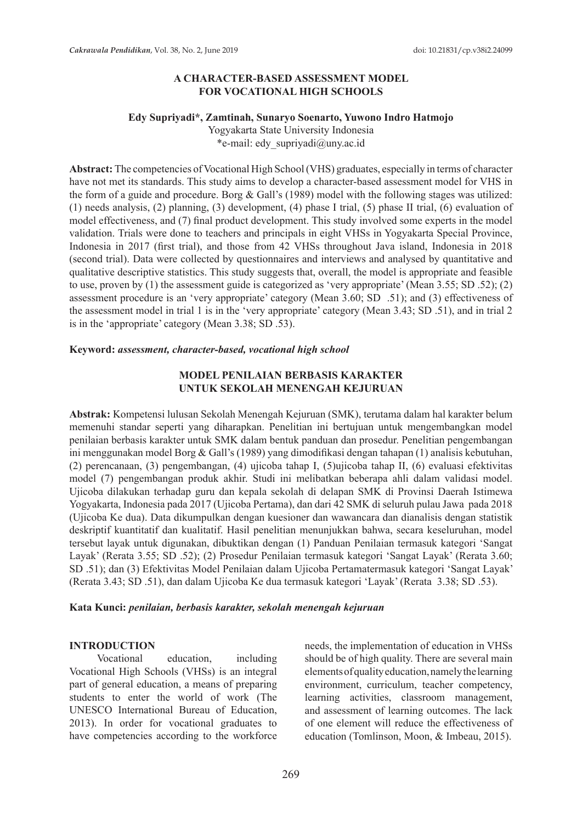### **A CHARACTER-BASED ASSESSMENT MODEL FOR VOCATIONAL HIGH SCHOOLS**

### **Edy Supriyadi\*, Zamtinah, Sunaryo Soenarto, Yuwono Indro Hatmojo**

Yogyakarta State University Indonesia \*e-mail: edy\_supriyadi@uny.ac.id

**Abstract:** The competencies of Vocational High School (VHS) graduates, especially in terms of character have not met its standards. This study aims to develop a character-based assessment model for VHS in the form of a guide and procedure. Borg & Gall's (1989) model with the following stages was utilized: (1) needs analysis, (2) planning, (3) development, (4) phase I trial, (5) phase II trial, (6) evaluation of model effectiveness, and (7) final product development. This study involved some experts in the model validation. Trials were done to teachers and principals in eight VHSs in Yogyakarta Special Province, Indonesia in 2017 (first trial), and those from 42 VHSs throughout Java island, Indonesia in 2018 (second trial). Data were collected by questionnaires and interviews and analysed by quantitative and qualitative descriptive statistics. This study suggests that, overall, the model is appropriate and feasible to use, proven by (1) the assessment guide is categorized as 'very appropriate' (Mean 3.55; SD .52); (2) assessment procedure is an 'very appropriate' category (Mean 3.60; SD .51); and (3) effectiveness of the assessment model in trial 1 is in the 'very appropriate' category (Mean 3.43; SD .51), and in trial 2 is in the 'appropriate' category (Mean 3.38; SD .53).

### **Keyword:** *assessment, character-based, vocational high school*

## **MODEL PENILAIAN BERBASIS KARAKTER UNTUK SEKOLAH MENENGAH KEJURUAN**

**Abstrak:** Kompetensi lulusan Sekolah Menengah Kejuruan (SMK), terutama dalam hal karakter belum memenuhi standar seperti yang diharapkan. Penelitian ini bertujuan untuk mengembangkan model penilaian berbasis karakter untuk SMK dalam bentuk panduan dan prosedur. Penelitian pengembangan ini menggunakan model Borg & Gall's (1989) yang dimodifikasi dengan tahapan (1) analisis kebutuhan, (2) perencanaan, (3) pengembangan, (4) ujicoba tahap I, (5)ujicoba tahap II, (6) evaluasi efektivitas model (7) pengembangan produk akhir. Studi ini melibatkan beberapa ahli dalam validasi model. Ujicoba dilakukan terhadap guru dan kepala sekolah di delapan SMK di Provinsi Daerah Istimewa Yogyakarta, Indonesia pada 2017 (Ujicoba Pertama), dan dari 42 SMK di seluruh pulau Jawa pada 2018 (Ujicoba Ke dua). Data dikumpulkan dengan kuesioner dan wawancara dan dianalisis dengan statistik deskriptif kuantitatif dan kualitatif. Hasil penelitian menunjukkan bahwa, secara keseluruhan, model tersebut layak untuk digunakan, dibuktikan dengan (1) Panduan Penilaian termasuk kategori 'Sangat Layak' (Rerata 3.55; SD .52); (2) Prosedur Penilaian termasuk kategori 'Sangat Layak' (Rerata 3.60; SD .51); dan (3) Efektivitas Model Penilaian dalam Ujicoba Pertamatermasuk kategori 'Sangat Layak' (Rerata 3.43; SD .51), dan dalam Ujicoba Ke dua termasuk kategori 'Layak' (Rerata 3.38; SD .53).

#### **Kata Kunci:** *penilaian, berbasis karakter, sekolah menengah kejuruan*

### **INTRODUCTION**

Vocational education, including Vocational High Schools (VHSs) is an integral part of general education, a means of preparing students to enter the world of work (The UNESCO International Bureau of Education, 2013). In order for vocational graduates to have competencies according to the workforce needs, the implementation of education in VHSs should be of high quality. There are several main elements of quality education, namely the learning environment, curriculum, teacher competency, learning activities, classroom management, and assessment of learning outcomes. The lack of one element will reduce the effectiveness of education (Tomlinson, Moon, & Imbeau, 2015).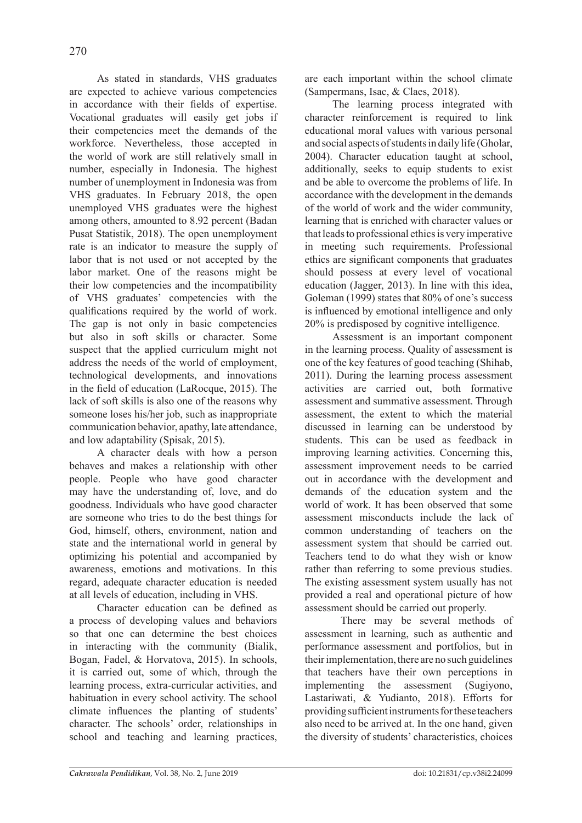As stated in standards, VHS graduates are expected to achieve various competencies in accordance with their fields of expertise. Vocational graduates will easily get jobs if their competencies meet the demands of the workforce. Nevertheless, those accepted in the world of work are still relatively small in number, especially in Indonesia. The highest number of unemployment in Indonesia was from VHS graduates. In February 2018, the open unemployed VHS graduates were the highest among others, amounted to 8.92 percent (Badan Pusat Statistik, 2018). The open unemployment rate is an indicator to measure the supply of labor that is not used or not accepted by the labor market. One of the reasons might be their low competencies and the incompatibility of VHS graduates' competencies with the qualifications required by the world of work. The gap is not only in basic competencies but also in soft skills or character. Some suspect that the applied curriculum might not address the needs of the world of employment, technological developments, and innovations in the field of education (LaRocque, 2015). The lack of soft skills is also one of the reasons why someone loses his/her job, such as inappropriate communication behavior, apathy, late attendance, and low adaptability (Spisak, 2015).

A character deals with how a person behaves and makes a relationship with other people. People who have good character may have the understanding of, love, and do goodness. Individuals who have good character are someone who tries to do the best things for God, himself, others, environment, nation and state and the international world in general by optimizing his potential and accompanied by awareness, emotions and motivations. In this regard, adequate character education is needed at all levels of education, including in VHS.

Character education can be defined as a process of developing values and behaviors so that one can determine the best choices in interacting with the community (Bialik, Bogan, Fadel, & Horvatova, 2015). In schools, it is carried out, some of which, through the learning process, extra-curricular activities, and habituation in every school activity. The school climate influences the planting of students' character. The schools' order, relationships in school and teaching and learning practices, are each important within the school climate (Sampermans, Isac, & Claes, 2018).

The learning process integrated with character reinforcement is required to link educational moral values with various personal and social aspects of students in daily life (Gholar, 2004). Character education taught at school, additionally, seeks to equip students to exist and be able to overcome the problems of life. In accordance with the development in the demands of the world of work and the wider community, learning that is enriched with character values or that leads to professional ethics is very imperative in meeting such requirements. Professional ethics are significant components that graduates should possess at every level of vocational education (Jagger, 2013). In line with this idea, Goleman (1999) states that 80% of one's success is influenced by emotional intelligence and only 20% is predisposed by cognitive intelligence.

Assessment is an important component in the learning process. Quality of assessment is one of the key features of good teaching (Shihab, 2011). During the learning process assessment activities are carried out, both formative assessment and summative assessment. Through assessment, the extent to which the material discussed in learning can be understood by students. This can be used as feedback in improving learning activities. Concerning this, assessment improvement needs to be carried out in accordance with the development and demands of the education system and the world of work. It has been observed that some assessment misconducts include the lack of common understanding of teachers on the assessment system that should be carried out. Teachers tend to do what they wish or know rather than referring to some previous studies. The existing assessment system usually has not provided a real and operational picture of how assessment should be carried out properly.

 There may be several methods of assessment in learning, such as authentic and performance assessment and portfolios, but in their implementation, there are no such guidelines that teachers have their own perceptions in implementing the assessment (Sugiyono, Lastariwati, & Yudianto, 2018). Efforts for providing sufficient instruments for these teachers also need to be arrived at. In the one hand, given the diversity of students' characteristics, choices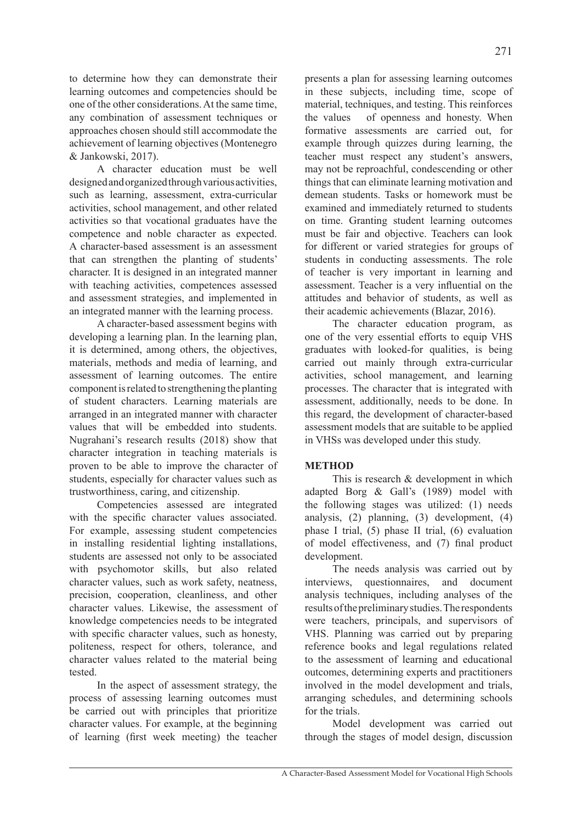to determine how they can demonstrate their learning outcomes and competencies should be one of the other considerations. At the same time, any combination of assessment techniques or approaches chosen should still accommodate the achievement of learning objectives (Montenegro & Jankowski, 2017).

A character education must be well designed and organized through various activities, such as learning, assessment, extra-curricular activities, school management, and other related activities so that vocational graduates have the competence and noble character as expected. A character-based assessment is an assessment that can strengthen the planting of students' character. It is designed in an integrated manner with teaching activities, competences assessed and assessment strategies, and implemented in an integrated manner with the learning process.

A character-based assessment begins with developing a learning plan. In the learning plan, it is determined, among others, the objectives, materials, methods and media of learning, and assessment of learning outcomes. The entire component is related to strengthening the planting of student characters. Learning materials are arranged in an integrated manner with character values that will be embedded into students. Nugrahani's research results (2018) show that character integration in teaching materials is proven to be able to improve the character of students, especially for character values such as trustworthiness, caring, and citizenship.

Competencies assessed are integrated with the specific character values associated. For example, assessing student competencies in installing residential lighting installations, students are assessed not only to be associated with psychomotor skills, but also related character values, such as work safety, neatness, precision, cooperation, cleanliness, and other character values. Likewise, the assessment of knowledge competencies needs to be integrated with specific character values, such as honesty, politeness, respect for others, tolerance, and character values related to the material being tested.

In the aspect of assessment strategy, the process of assessing learning outcomes must be carried out with principles that prioritize character values. For example, at the beginning of learning (first week meeting) the teacher presents a plan for assessing learning outcomes in these subjects, including time, scope of material, techniques, and testing. This reinforces the values of openness and honesty. When formative assessments are carried out, for example through quizzes during learning, the teacher must respect any student's answers, may not be reproachful, condescending or other things that can eliminate learning motivation and demean students. Tasks or homework must be examined and immediately returned to students on time. Granting student learning outcomes must be fair and objective. Teachers can look for different or varied strategies for groups of students in conducting assessments. The role of teacher is very important in learning and assessment. Teacher is a very influential on the attitudes and behavior of students, as well as their academic achievements (Blazar, 2016).

The character education program, as one of the very essential efforts to equip VHS graduates with looked-for qualities, is being carried out mainly through extra-curricular activities, school management, and learning processes. The character that is integrated with assessment, additionally, needs to be done. In this regard, the development of character-based assessment models that are suitable to be applied in VHSs was developed under this study.

# **METHOD**

This is research & development in which adapted Borg & Gall's (1989) model with the following stages was utilized: (1) needs analysis, (2) planning, (3) development, (4) phase I trial, (5) phase II trial, (6) evaluation of model effectiveness, and (7) final product development.

The needs analysis was carried out by interviews, questionnaires, and document analysis techniques, including analyses of the results of the preliminary studies. The respondents were teachers, principals, and supervisors of VHS. Planning was carried out by preparing reference books and legal regulations related to the assessment of learning and educational outcomes, determining experts and practitioners involved in the model development and trials, arranging schedules, and determining schools for the trials.

Model development was carried out through the stages of model design, discussion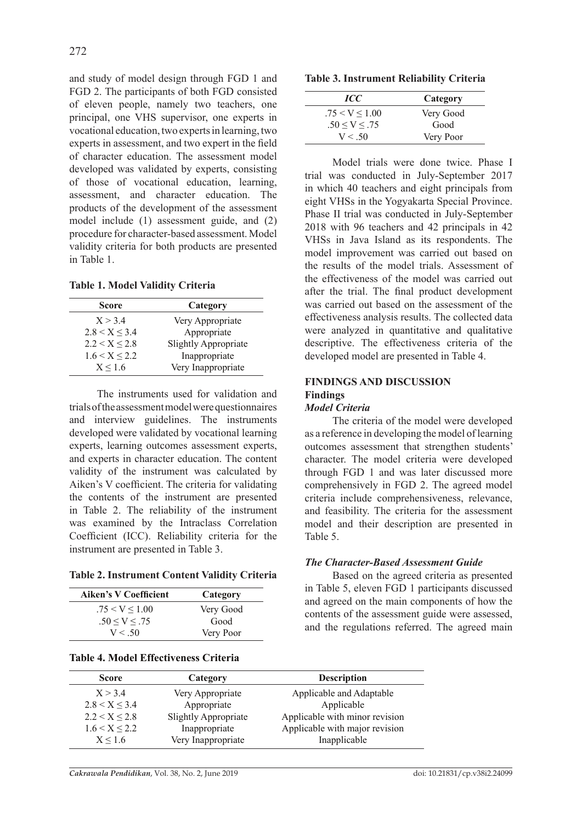and study of model design through FGD 1 and FGD 2. The participants of both FGD consisted of eleven people, namely two teachers, one principal, one VHS supervisor, one experts in vocational education, two experts in learning, two experts in assessment, and two expert in the field of character education. The assessment model developed was validated by experts, consisting of those of vocational education, learning, assessment, and character education. The products of the development of the assessment model include (1) assessment guide, and (2) procedure for character-based assessment. Model validity criteria for both products are presented in Table 1.

**Table 1. Model Validity Criteria** 

| Score              | Category                    |
|--------------------|-----------------------------|
| X > 34             | Very Appropriate            |
| $2.8 < X \leq 3.4$ | Appropriate                 |
| 2.2 < X < 2.8      | <b>Slightly Appropriate</b> |
| $1.6 < X \le 2.2$  | Inappropriate               |
| X < 1.6            | Very Inappropriate          |

The instruments used for validation and trials of the assessment model were questionnaires and interview guidelines. The instruments developed were validated by vocational learning experts, learning outcomes assessment experts, and experts in character education. The content validity of the instrument was calculated by Aiken's V coefficient. The criteria for validating the contents of the instrument are presented in Table 2. The reliability of the instrument was examined by the Intraclass Correlation Coefficient (ICC). Reliability criteria for the instrument are presented in Table 3.

|  | <b>Table 2. Instrument Content Validity Criteria</b> |  |  |  |
|--|------------------------------------------------------|--|--|--|
|--|------------------------------------------------------|--|--|--|

| <b>Aiken's V Coefficient</b> | Category  |
|------------------------------|-----------|
| .75 < V < 1.00               | Very Good |
| $.50 \le V \le .75$          | Good      |
| V < 50                       | Very Poor |

### **Table 4. Model Effectiveness Criteria**

|  | <b>Table 3. Instrument Reliability Criteria</b> |  |  |
|--|-------------------------------------------------|--|--|
|--|-------------------------------------------------|--|--|

| ICC                 | Category  |
|---------------------|-----------|
| .75 < V < 1.00      | Very Good |
| $.50 \le V \le .75$ | Good      |
| V < 50              | Very Poor |

Model trials were done twice. Phase I trial was conducted in July-September 2017 in which 40 teachers and eight principals from eight VHSs in the Yogyakarta Special Province. Phase II trial was conducted in July-September 2018 with 96 teachers and 42 principals in 42 VHSs in Java Island as its respondents. The model improvement was carried out based on the results of the model trials. Assessment of the effectiveness of the model was carried out after the trial. The final product development was carried out based on the assessment of the effectiveness analysis results. The collected data were analyzed in quantitative and qualitative descriptive. The effectiveness criteria of the developed model are presented in Table 4.

### **FINDINGS AND DISCUSSION Findings** *Model Criteria*

The criteria of the model were developed as a reference in developing the model of learning outcomes assessment that strengthen students' character. The model criteria were developed through FGD 1 and was later discussed more comprehensively in FGD 2. The agreed model criteria include comprehensiveness, relevance, and feasibility. The criteria for the assessment model and their description are presented in Table 5.

# *The Character-Based Assessment Guide*

Based on the agreed criteria as presented in Table 5, eleven FGD 1 participants discussed and agreed on the main components of how the contents of the assessment guide were assessed, and the regulations referred. The agreed main

| <b>Score</b>      | Category                    | <b>Description</b>             |
|-------------------|-----------------------------|--------------------------------|
| X > 34            | Very Appropriate            | Applicable and Adaptable       |
| 2.8 < X < 3.4     | Appropriate                 | Applicable                     |
| 2.2 < X < 2.8     | <b>Slightly Appropriate</b> | Applicable with minor revision |
| $1.6 < X \le 2.2$ | Inappropriate               | Applicable with major revision |
| X < 1.6           | Very Inappropriate          | Inapplicable                   |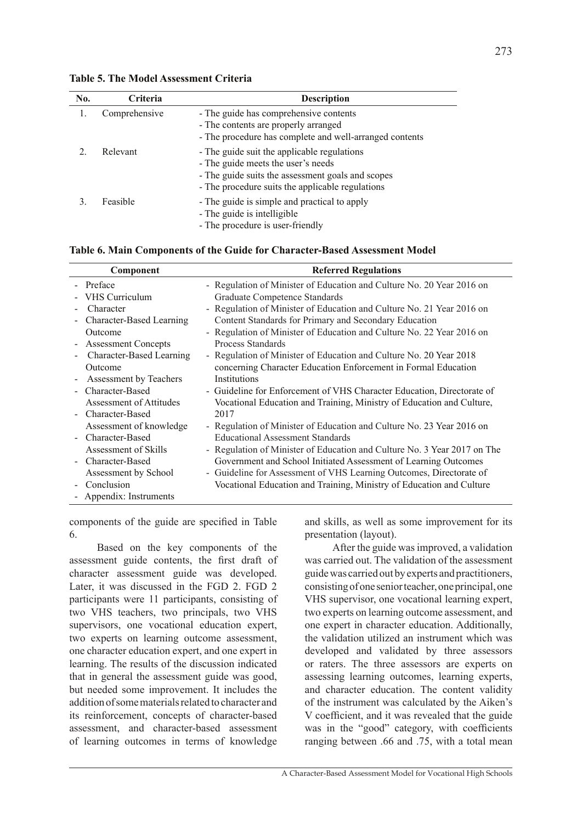| No. | Criteria      | <b>Description</b>                                                                                                                                                                         |
|-----|---------------|--------------------------------------------------------------------------------------------------------------------------------------------------------------------------------------------|
|     | Comprehensive | - The guide has comprehensive contents<br>- The contents are properly arranged<br>- The procedure has complete and well-arranged contents                                                  |
|     | Relevant      | - The guide suit the applicable regulations<br>- The guide meets the user's needs<br>- The guide suits the assessment goals and scopes<br>- The procedure suits the applicable regulations |
|     | Feasible      | - The guide is simple and practical to apply<br>- The guide is intelligible<br>- The procedure is user-friendly                                                                            |

### **Table 5. The Model Assessment Criteria**

### **Table 6. Main Components of the Guide for Character-Based Assessment Model**

| Component                  | <b>Referred Regulations</b>                                              |
|----------------------------|--------------------------------------------------------------------------|
| - Preface                  | - Regulation of Minister of Education and Culture No. 20 Year 2016 on    |
| VHS Curriculum             | Graduate Competence Standards                                            |
| Character                  | - Regulation of Minister of Education and Culture No. 21 Year 2016 on    |
| Character-Based Learning   | Content Standards for Primary and Secondary Education                    |
| Outcome                    | - Regulation of Minister of Education and Culture No. 22 Year 2016 on    |
| <b>Assessment Concepts</b> | Process Standards                                                        |
| Character-Based Learning   | - Regulation of Minister of Education and Culture No. 20 Year 2018       |
| Outcome                    | concerning Character Education Enforcement in Formal Education           |
| Assessment by Teachers     | Institutions                                                             |
| - Character-Based          | - Guideline for Enforcement of VHS Character Education, Directorate of   |
| Assessment of Attitudes    | Vocational Education and Training, Ministry of Education and Culture,    |
| - Character-Based          | 2017                                                                     |
| Assessment of knowledge    | - Regulation of Minister of Education and Culture No. 23 Year 2016 on    |
| Character-Based            | <b>Educational Assessment Standards</b>                                  |
| Assessment of Skills       | - Regulation of Minister of Education and Culture No. 3 Year 2017 on The |
| Character-Based            | Government and School Initiated Assessment of Learning Outcomes          |
| Assessment by School       | - Guideline for Assessment of VHS Learning Outcomes, Directorate of      |
| Conclusion                 | Vocational Education and Training, Ministry of Education and Culture     |
| - Appendix: Instruments    |                                                                          |

components of the guide are specified in Table 6.

Based on the key components of the assessment guide contents, the first draft of character assessment guide was developed. Later, it was discussed in the FGD 2. FGD 2 participants were 11 participants, consisting of two VHS teachers, two principals, two VHS supervisors, one vocational education expert, two experts on learning outcome assessment, one character education expert, and one expert in learning. The results of the discussion indicated that in general the assessment guide was good, but needed some improvement. It includes the addition of some materials related to character and its reinforcement, concepts of character-based assessment, and character-based assessment of learning outcomes in terms of knowledge and skills, as well as some improvement for its presentation (layout).

After the guide was improved, a validation was carried out. The validation of the assessment guide was carried out by experts and practitioners, consisting of one senior teacher, one principal, one VHS supervisor, one vocational learning expert, two experts on learning outcome assessment, and one expert in character education. Additionally, the validation utilized an instrument which was developed and validated by three assessors or raters. The three assessors are experts on assessing learning outcomes, learning experts, and character education. The content validity of the instrument was calculated by the Aiken's V coefficient, and it was revealed that the guide was in the "good" category, with coefficients ranging between .66 and .75, with a total mean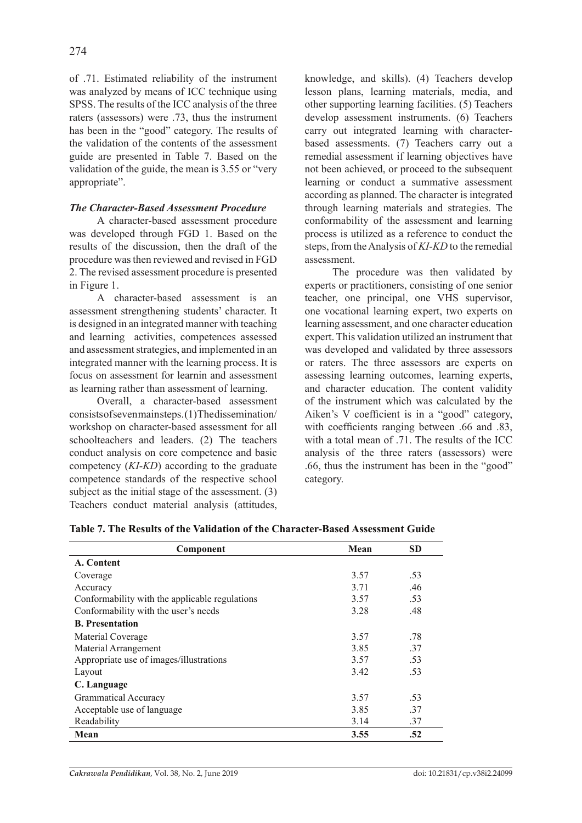of .71. Estimated reliability of the instrument was analyzed by means of ICC technique using SPSS. The results of the ICC analysis of the three raters (assessors) were .73, thus the instrument has been in the "good" category. The results of the validation of the contents of the assessment guide are presented in Table 7. Based on the validation of the guide, the mean is 3.55 or "very appropriate".

## *The Character-Based Assessment Procedure*

A character-based assessment procedure was developed through FGD 1. Based on the results of the discussion, then the draft of the procedure was then reviewed and revised in FGD 2. The revised assessment procedure is presented in Figure 1.

A character-based assessment is an assessment strengthening students' character. It is designed in an integrated manner with teaching and learning activities, competences assessed and assessment strategies, and implemented in an integrated manner with the learning process. It is focus on assessment for learnin and assessment as learning rather than assessment of learning.

Overall, a character-based assessment consists of seven main steps. (1) The dissemination/ workshop on character-based assessment for all schoolteachers and leaders. (2) The teachers conduct analysis on core competence and basic competency (*KI-KD*) according to the graduate competence standards of the respective school subject as the initial stage of the assessment. (3) Teachers conduct material analysis (attitudes, knowledge, and skills). (4) Teachers develop lesson plans, learning materials, media, and other supporting learning facilities. (5) Teachers develop assessment instruments. (6) Teachers carry out integrated learning with characterbased assessments. (7) Teachers carry out a remedial assessment if learning objectives have not been achieved, or proceed to the subsequent learning or conduct a summative assessment according as planned. The character is integrated through learning materials and strategies. The conformability of the assessment and learning process is utilized as a reference to conduct the steps, from the Analysis of *KI*-*KD* to the remedial assessment.

The procedure was then validated by experts or practitioners, consisting of one senior teacher, one principal, one VHS supervisor, one vocational learning expert, two experts on learning assessment, and one character education expert. This validation utilized an instrument that was developed and validated by three assessors or raters. The three assessors are experts on assessing learning outcomes, learning experts, and character education. The content validity of the instrument which was calculated by the Aiken's V coefficient is in a "good" category, with coefficients ranging between .66 and .83, with a total mean of  $71$ . The results of the ICC analysis of the three raters (assessors) were .66, thus the instrument has been in the "good" category.

| Component                                      | Mean | <b>SD</b> |
|------------------------------------------------|------|-----------|
| A. Content                                     |      |           |
| Coverage                                       | 3.57 | .53       |
| Accuracy                                       | 3.71 | .46       |
| Conformability with the applicable regulations | 3.57 | .53       |
| Conformability with the user's needs           | 3.28 | .48       |
| <b>B.</b> Presentation                         |      |           |
| Material Coverage                              | 3.57 | .78       |
| Material Arrangement                           | 385  | .37       |
| Appropriate use of images/illustrations        | 3.57 | .53       |
| Layout                                         | 3.42 | .53       |
| C. Language                                    |      |           |
| <b>Grammatical Accuracy</b>                    | 3.57 | .53       |
| Acceptable use of language                     | 3.85 | .37       |
| Readability                                    | 3.14 | .37       |
| Mean                                           | 3.55 | .52       |

**Table 7. The Results of the Validation of the Character-Based Assessment Guide**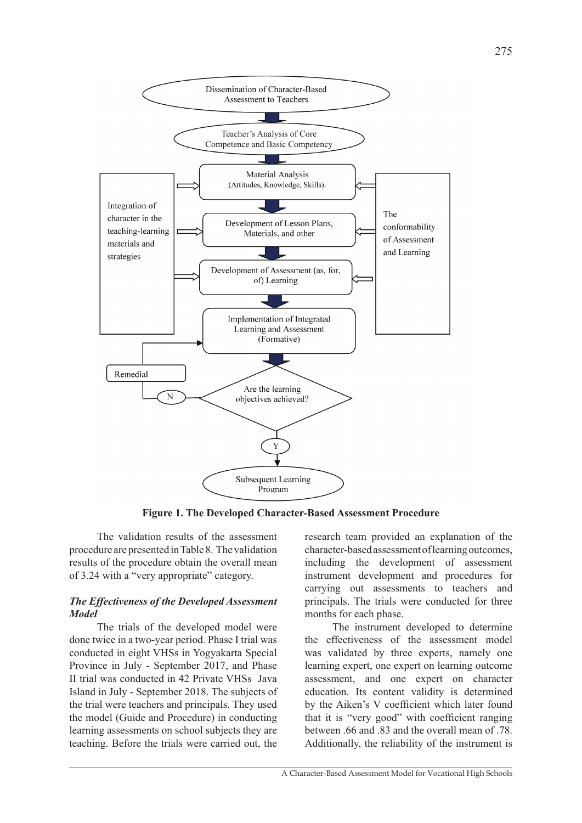

**Figure 1. The Developed Character-Based Assessment Procedure** 

The validation results of the assessment procedure are presented in Table 8. The validation results of the procedure obtain the overall mean of 3.24 with a "very appropriate" category.

## *The Effectiveness of the Developed Assessment Model*

The trials of the developed model were done twice in a two-year period. Phase I trial was conducted in eight VHSs in Yogyakarta Special Province in July - September 2017, and Phase II trial was conducted in 42 Private VHSs Java Island in July - September 2018. The subjects of the trial were teachers and principals. They used the model (Guide and Procedure) in conducting learning assessments on school subjects they are teaching. Before the trials were carried out, the

research team provided an explanation of the character-based assessment of learning outcomes, including the development of assessment instrument development and procedures for carrying out assessments to teachers and principals. The trials were conducted for three months for each phase.

The instrument developed to determine the effectiveness of the assessment model was validated by three experts, namely one learning expert, one expert on learning outcome assessment, and one expert on character education. Its content validity is determined by the Aiken's V coefficient which later found that it is "very good" with coefficient ranging between .66 and .83 and the overall mean of .78. Additionally, the reliability of the instrument is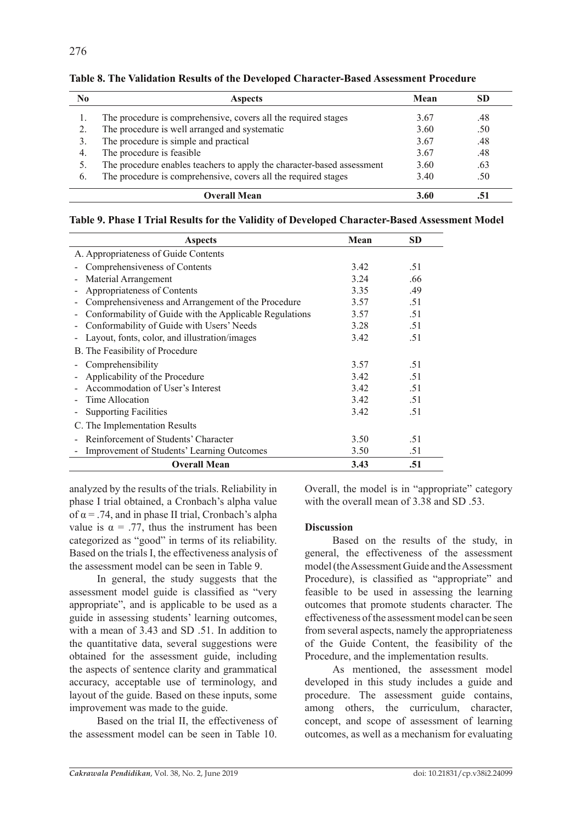| No | <b>Aspects</b>                                                         | Mean | SD  |
|----|------------------------------------------------------------------------|------|-----|
|    | The procedure is comprehensive, covers all the required stages         | 3.67 | .48 |
|    | The procedure is well arranged and systematic                          | 3.60 | .50 |
|    | The procedure is simple and practical                                  | 3.67 | .48 |
| 4. | The procedure is feasible                                              | 3.67 | .48 |
|    | The procedure enables teachers to apply the character-based assessment | 3.60 | .63 |
| 6. | The procedure is comprehensive, covers all the required stages         | 3.40 | .50 |
|    | Overall Mean                                                           | 3.60 |     |

**Table 8. The Validation Results of the Developed Character-Based Assessment Procedure**

| Table 9. Phase I Trial Results for the Validity of Developed Character-Based Assessment Model |  |
|-----------------------------------------------------------------------------------------------|--|
|-----------------------------------------------------------------------------------------------|--|

| <b>Aspects</b>                                          | Mean | SD  |
|---------------------------------------------------------|------|-----|
| A. Appropriateness of Guide Contents                    |      |     |
| Comprehensiveness of Contents                           | 3.42 | .51 |
| Material Arrangement                                    | 3.24 | .66 |
| Appropriateness of Contents                             | 3.35 | .49 |
| Comprehensiveness and Arrangement of the Procedure      | 3.57 | .51 |
| Conformability of Guide with the Applicable Regulations | 3.57 | .51 |
| Conformability of Guide with Users' Needs               | 3.28 | .51 |
| Layout, fonts, color, and illustration/images           | 3.42 | .51 |
| B. The Feasibility of Procedure                         |      |     |
| Comprehensibility                                       | 3.57 | .51 |
| Applicability of the Procedure                          | 3.42 | .51 |
| Accommodation of User's Interest                        | 3.42 | .51 |
| Time Allocation                                         | 3.42 | .51 |
| <b>Supporting Facilities</b>                            | 3.42 | .51 |
| C. The Implementation Results                           |      |     |
| Reinforcement of Students' Character                    | 3.50 | .51 |
| Improvement of Students' Learning Outcomes              | 3.50 | .51 |
| <b>Overall Mean</b>                                     | 3.43 | .51 |

analyzed by the results of the trials. Reliability in phase I trial obtained, a Cronbach's alpha value of  $\alpha$  = .74, and in phase II trial, Cronbach's alpha value is  $\alpha = .77$ , thus the instrument has been categorized as "good" in terms of its reliability. Based on the trials I, the effectiveness analysis of the assessment model can be seen in Table 9.

In general, the study suggests that the assessment model guide is classified as "very appropriate", and is applicable to be used as a guide in assessing students' learning outcomes, with a mean of 3.43 and SD .51. In addition to the quantitative data, several suggestions were obtained for the assessment guide, including the aspects of sentence clarity and grammatical accuracy, acceptable use of terminology, and layout of the guide. Based on these inputs, some improvement was made to the guide.

Based on the trial II, the effectiveness of the assessment model can be seen in Table 10. Overall, the model is in "appropriate" category with the overall mean of 3.38 and SD 53.

# **Discussion**

Based on the results of the study, in general, the effectiveness of the assessment model (the Assessment Guide and the Assessment Procedure), is classified as "appropriate" and feasible to be used in assessing the learning outcomes that promote students character. The effectiveness of the assessment model can be seen from several aspects, namely the appropriateness of the Guide Content, the feasibility of the Procedure, and the implementation results.

As mentioned, the assessment model developed in this study includes a guide and procedure. The assessment guide contains, among others, the curriculum, character, concept, and scope of assessment of learning outcomes, as well as a mechanism for evaluating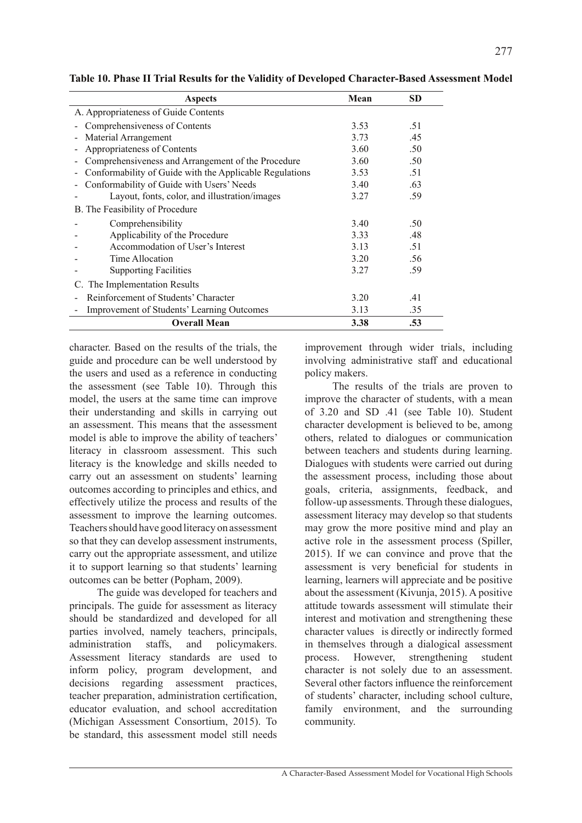| <b>Aspects</b>                                          | Mean | <b>SD</b> |
|---------------------------------------------------------|------|-----------|
| A. Appropriateness of Guide Contents                    |      |           |
| Comprehensiveness of Contents                           | 3.53 | .51       |
| Material Arrangement                                    | 3.73 | .45       |
| Appropriateness of Contents                             | 3.60 | .50       |
| Comprehensiveness and Arrangement of the Procedure      | 3.60 | .50       |
| Conformability of Guide with the Applicable Regulations | 3.53 | .51       |
| Conformability of Guide with Users' Needs               | 3.40 | .63       |
| Layout, fonts, color, and illustration/images           | 3.27 | .59       |
| B. The Feasibility of Procedure                         |      |           |
| Comprehensibility                                       | 3.40 | .50       |
| Applicability of the Procedure                          | 3.33 | .48       |
| Accommodation of User's Interest                        | 3.13 | .51       |
| Time Allocation                                         | 3.20 | .56       |
| <b>Supporting Facilities</b>                            | 3.27 | .59       |
| C. The Implementation Results                           |      |           |
| Reinforcement of Students' Character                    | 3.20 | .41       |
| Improvement of Students' Learning Outcomes              | 3.13 | .35       |
| <b>Overall Mean</b>                                     | 3.38 | .53       |

**Table 10. Phase II Trial Results for the Validity of Developed Character-Based Assessment Model**

character. Based on the results of the trials, the guide and procedure can be well understood by the users and used as a reference in conducting the assessment (see Table 10). Through this model, the users at the same time can improve their understanding and skills in carrying out an assessment. This means that the assessment model is able to improve the ability of teachers' literacy in classroom assessment. This such literacy is the knowledge and skills needed to carry out an assessment on students' learning outcomes according to principles and ethics, and effectively utilize the process and results of the assessment to improve the learning outcomes. Teachers should have good literacy on assessment so that they can develop assessment instruments, carry out the appropriate assessment, and utilize it to support learning so that students' learning outcomes can be better (Popham, 2009).

The guide was developed for teachers and principals. The guide for assessment as literacy should be standardized and developed for all parties involved, namely teachers, principals, administration staffs, and policymakers. Assessment literacy standards are used to inform policy, program development, and decisions regarding assessment practices, teacher preparation, administration certification, educator evaluation, and school accreditation (Michigan Assessment Consortium, 2015). To be standard, this assessment model still needs improvement through wider trials, including involving administrative staff and educational policy makers.

The results of the trials are proven to improve the character of students, with a mean of 3.20 and SD .41 (see Table 10). Student character development is believed to be, among others, related to dialogues or communication between teachers and students during learning. Dialogues with students were carried out during the assessment process, including those about goals, criteria, assignments, feedback, and follow-up assessments. Through these dialogues, assessment literacy may develop so that students may grow the more positive mind and play an active role in the assessment process (Spiller, 2015). If we can convince and prove that the assessment is very beneficial for students in learning, learners will appreciate and be positive about the assessment (Kivunja, 2015). A positive attitude towards assessment will stimulate their interest and motivation and strengthening these character values is directly or indirectly formed in themselves through a dialogical assessment process. However, strengthening student character is not solely due to an assessment. Several other factors influence the reinforcement of students' character, including school culture, family environment, and the surrounding community.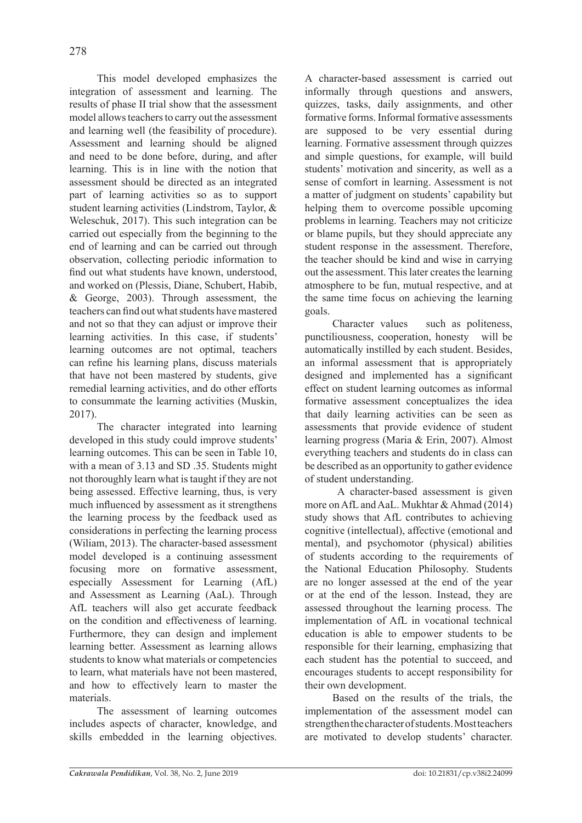This model developed emphasizes the integration of assessment and learning. The results of phase II trial show that the assessment model allows teachers to carry out the assessment and learning well (the feasibility of procedure). Assessment and learning should be aligned and need to be done before, during, and after learning. This is in line with the notion that assessment should be directed as an integrated part of learning activities so as to support student learning activities (Lindstrom, Taylor, & Weleschuk, 2017). This such integration can be carried out especially from the beginning to the end of learning and can be carried out through observation, collecting periodic information to find out what students have known, understood, and worked on (Plessis, Diane, Schubert, Habib, & George, 2003). Through assessment, the teachers can find out what students have mastered and not so that they can adjust or improve their learning activities. In this case, if students' learning outcomes are not optimal, teachers can refine his learning plans, discuss materials that have not been mastered by students, give remedial learning activities, and do other efforts to consummate the learning activities (Muskin, 2017).

The character integrated into learning developed in this study could improve students' learning outcomes. This can be seen in Table 10, with a mean of 3.13 and SD .35. Students might not thoroughly learn what is taught if they are not being assessed. Effective learning, thus, is very much influenced by assessment as it strengthens the learning process by the feedback used as considerations in perfecting the learning process (Wiliam, 2013). The character-based assessment model developed is a continuing assessment focusing more on formative assessment, especially Assessment for Learning (AfL) and Assessment as Learning (AaL). Through AfL teachers will also get accurate feedback on the condition and effectiveness of learning. Furthermore, they can design and implement learning better. Assessment as learning allows students to know what materials or competencies to learn, what materials have not been mastered, and how to effectively learn to master the materials.

The assessment of learning outcomes includes aspects of character, knowledge, and skills embedded in the learning objectives. A character-based assessment is carried out informally through questions and answers, quizzes, tasks, daily assignments, and other formative forms. Informal formative assessments are supposed to be very essential during learning. Formative assessment through quizzes and simple questions, for example, will build students' motivation and sincerity, as well as a sense of comfort in learning. Assessment is not a matter of judgment on students' capability but helping them to overcome possible upcoming problems in learning. Teachers may not criticize or blame pupils, but they should appreciate any student response in the assessment. Therefore, the teacher should be kind and wise in carrying out the assessment. This later creates the learning atmosphere to be fun, mutual respective, and at the same time focus on achieving the learning goals.

Character values such as politeness, punctiliousness, cooperation, honesty will be automatically instilled by each student. Besides, an informal assessment that is appropriately designed and implemented has a significant effect on student learning outcomes as informal formative assessment conceptualizes the idea that daily learning activities can be seen as assessments that provide evidence of student learning progress (Maria & Erin, 2007). Almost everything teachers and students do in class can be described as an opportunity to gather evidence of student understanding.

 A character-based assessment is given more on AfL and AaL. Mukhtar & Ahmad (2014) study shows that AfL contributes to achieving cognitive (intellectual), affective (emotional and mental), and psychomotor (physical) abilities of students according to the requirements of the National Education Philosophy. Students are no longer assessed at the end of the year or at the end of the lesson. Instead, they are assessed throughout the learning process. The implementation of AfL in vocational technical education is able to empower students to be responsible for their learning, emphasizing that each student has the potential to succeed, and encourages students to accept responsibility for their own development.

Based on the results of the trials, the implementation of the assessment model can strengthen the character of students. Most teachers are motivated to develop students' character.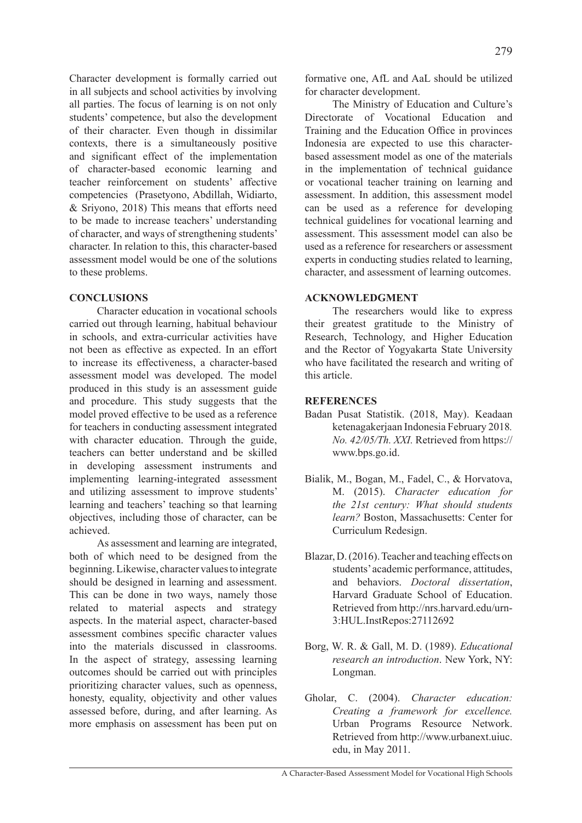Character development is formally carried out in all subjects and school activities by involving all parties. The focus of learning is on not only students' competence, but also the development of their character. Even though in dissimilar contexts, there is a simultaneously positive and significant effect of the implementation of character-based economic learning and teacher reinforcement on students' affective competencies (Prasetyono, Abdillah, Widiarto, & Sriyono, 2018) This means that efforts need to be made to increase teachers' understanding of character, and ways of strengthening students' character. In relation to this, this character-based assessment model would be one of the solutions to these problems.

## **CONCLUSIONS**

Character education in vocational schools carried out through learning, habitual behaviour in schools, and extra-curricular activities have not been as effective as expected. In an effort to increase its effectiveness, a character-based assessment model was developed. The model produced in this study is an assessment guide and procedure. This study suggests that the model proved effective to be used as a reference for teachers in conducting assessment integrated with character education. Through the guide, teachers can better understand and be skilled in developing assessment instruments and implementing learning-integrated assessment and utilizing assessment to improve students' learning and teachers' teaching so that learning objectives, including those of character, can be achieved.

As assessment and learning are integrated, both of which need to be designed from the beginning. Likewise, character values to integrate should be designed in learning and assessment. This can be done in two ways, namely those related to material aspects and strategy aspects. In the material aspect, character-based assessment combines specific character values into the materials discussed in classrooms. In the aspect of strategy, assessing learning outcomes should be carried out with principles prioritizing character values, such as openness, honesty, equality, objectivity and other values assessed before, during, and after learning. As more emphasis on assessment has been put on formative one, AfL and AaL should be utilized for character development.

The Ministry of Education and Culture's Directorate of Vocational Education and Training and the Education Office in provinces Indonesia are expected to use this characterbased assessment model as one of the materials in the implementation of technical guidance or vocational teacher training on learning and assessment. In addition, this assessment model can be used as a reference for developing technical guidelines for vocational learning and assessment. This assessment model can also be used as a reference for researchers or assessment experts in conducting studies related to learning, character, and assessment of learning outcomes.

# **Acknowledgment**

The researchers would like to express their greatest gratitude to the Ministry of Research, Technology, and Higher Education and the Rector of Yogyakarta State University who have facilitated the research and writing of this article.

# **References**

- Badan Pusat Statistik. (2018, May). Keadaan ketenagakerjaan Indonesia February 2018*. No. 42/05/Th. XXI.* Retrieved from https:// www.bps.go.id.
- Bialik, M., Bogan, M., Fadel, C., & Horvatova, M. (2015). *Character education for the 21st century: What should students learn?* Boston, Massachusetts: Center for Curriculum Redesign.
- Blazar, D. (2016). Teacher and teaching effects on students' academic performance, attitudes, and behaviors. *Doctoral dissertation*, Harvard Graduate School of Education. Retrieved from http://nrs.harvard.edu/urn-3:HUL.InstRepos:27112692
- Borg, W. R. & Gall, M. D. (1989). *Educational research an introduction*. New York, NY: Longman.
- Gholar, C. (2004). *Character education: Creating a framework for excellence.*  Urban Programs Resource Network. Retrieved from http://www.urbanext.uiuc. edu, in May 2011.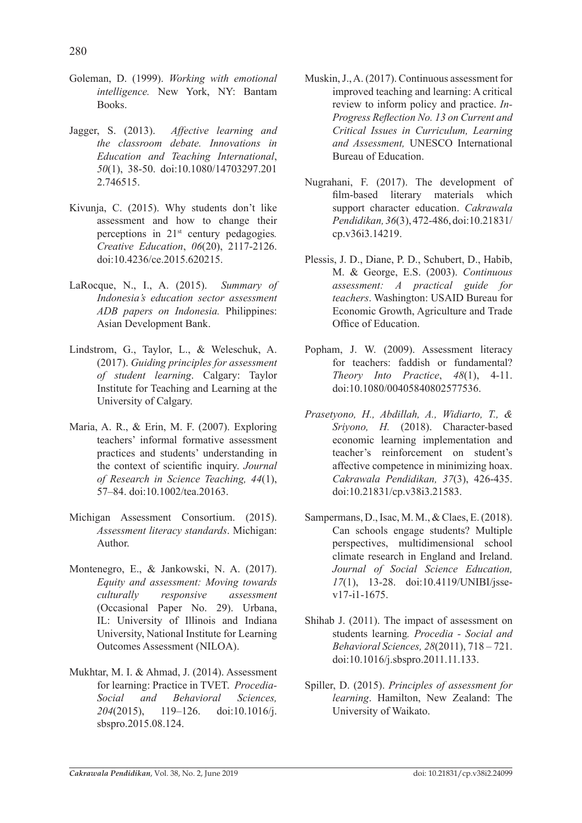- Goleman, D. (1999). *Working with emotional intelligence.* New York, NY: Bantam Books.
- Jagger, S. (2013). *Affective learning and the classroom debate. Innovations in Education and Teaching International*, *50*(1), 38-50. doi:10.1080/14703297.201 2.746515.
- Kivunja, C. (2015). Why students don't like assessment and how to change their perceptions in 21st century pedagogies*. Creative Education*, *06*(20), 2117-2126. doi:10.4236/ce.2015.620215.
- LaRocque, N., I., A. (2015). *Summary of Indonesia's education sector assessment ADB papers on Indonesia.* Philippines: Asian Development Bank.
- Lindstrom, G., Taylor, L., & Weleschuk, A. (2017). *Guiding principles for assessment of student learning*. Calgary: Taylor Institute for Teaching and Learning at the University of Calgary.
- Maria, A. R., & Erin, M. F. (2007). Exploring teachers' informal formative assessment practices and students' understanding in the context of scientific inquiry. *Journal of Research in Science Teaching, 44*(1), 57–84. doi:10.1002/tea.20163.
- Michigan Assessment Consortium. (2015). *Assessment literacy standards*. Michigan: Author.
- Montenegro, E., & Jankowski, N. A. (2017). *Equity and assessment: Moving towards culturally responsive assessment*  (Occasional Paper No. 29). Urbana, IL: University of Illinois and Indiana University, National Institute for Learning Outcomes Assessment (NILOA).
- Mukhtar, M. I. & Ahmad, J. (2014). Assessment for learning: Practice in TVET. *Procedia-Social and Behavioral Sciences, 204*(2015), 119–126. doi:10.1016/j. sbspro.2015.08.124.
- Muskin, J., A. (2017). Continuous assessment for improved teaching and learning: A critical review to inform policy and practice. *In-Progress Reflection No. 13 on Current and Critical Issues in Curriculum, Learning and Assessment,* UNESCO International Bureau of Education.
- Nugrahani, F. (2017). The development of film-based literary materials which support character education. *Cakrawala Pendidikan,36*(3), 472-486, doi:10.21831/ cp.v36i3.14219.
- Plessis, J. D., Diane, P. D., Schubert, D., Habib, M. & George, E.S. (2003). *Continuous assessment: A practical guide for teachers*. Washington: USAID Bureau for Economic Growth, Agriculture and Trade Office of Education.
- Popham, J. W. (2009). Assessment literacy for teachers: faddish or fundamental? *Theory Into Practice*, *48*(1), 4-11. doi:10.1080/00405840802577536.
- *Prasetyono, H., Abdillah, A., Widiarto, T., & Sriyono, H.* (2018). Character-based economic learning implementation and teacher's reinforcement on student's affective competence in minimizing hoax. *Cakrawala Pendidikan, 37*(3), 426-435. doi:10.21831/cp.v38i3.21583.
- Sampermans, D., Isac, M. M., & Claes, E. (2018). Can schools engage students? Multiple perspectives, multidimensional school climate research in England and Ireland. *Journal of Social Science Education, 17*(1), 13-28. doi:10.4119/UNIBI/jssev17-i1-1675.
- Shihab J. (2011). The impact of assessment on students learning*. Procedia - Social and Behavioral Sciences, 28*(2011), 718 – 721. doi:10.1016/j.sbspro.2011.11.133.
- Spiller, D. (2015). *Principles of assessment for learning*. Hamilton, New Zealand: The University of Waikato.